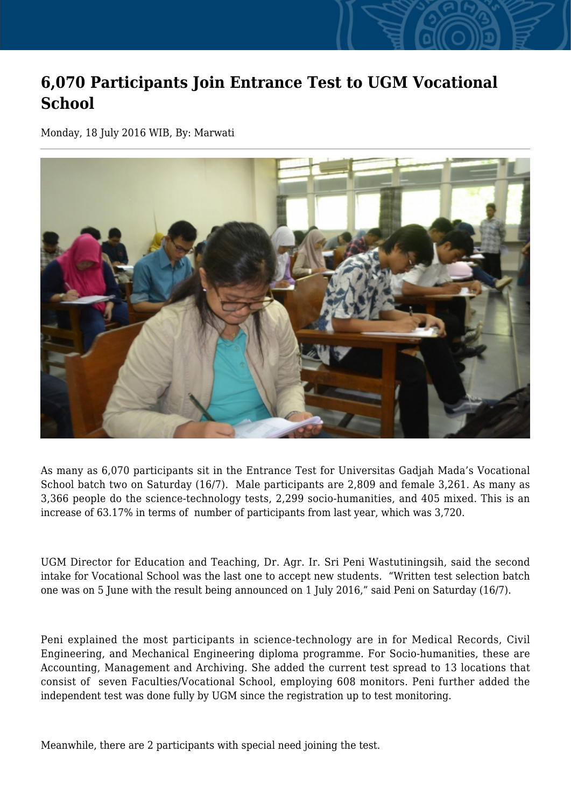## **6,070 Participants Join Entrance Test to UGM Vocational School**

Monday, 18 July 2016 WIB, By: Marwati



As many as 6,070 participants sit in the Entrance Test for Universitas Gadjah Mada's Vocational School batch two on Saturday (16/7). Male participants are 2,809 and female 3,261. As many as 3,366 people do the science-technology tests, 2,299 socio-humanities, and 405 mixed. This is an increase of 63.17% in terms of number of participants from last year, which was 3,720.

UGM Director for Education and Teaching, Dr. Agr. Ir. Sri Peni Wastutiningsih, said the second intake for Vocational School was the last one to accept new students. "Written test selection batch one was on 5 June with the result being announced on 1 July 2016," said Peni on Saturday (16/7).

Peni explained the most participants in science-technology are in for Medical Records, Civil Engineering, and Mechanical Engineering diploma programme. For Socio-humanities, these are Accounting, Management and Archiving. She added the current test spread to 13 locations that consist of seven Faculties/Vocational School, employing 608 monitors. Peni further added the independent test was done fully by UGM since the registration up to test monitoring.

Meanwhile, there are 2 participants with special need joining the test.